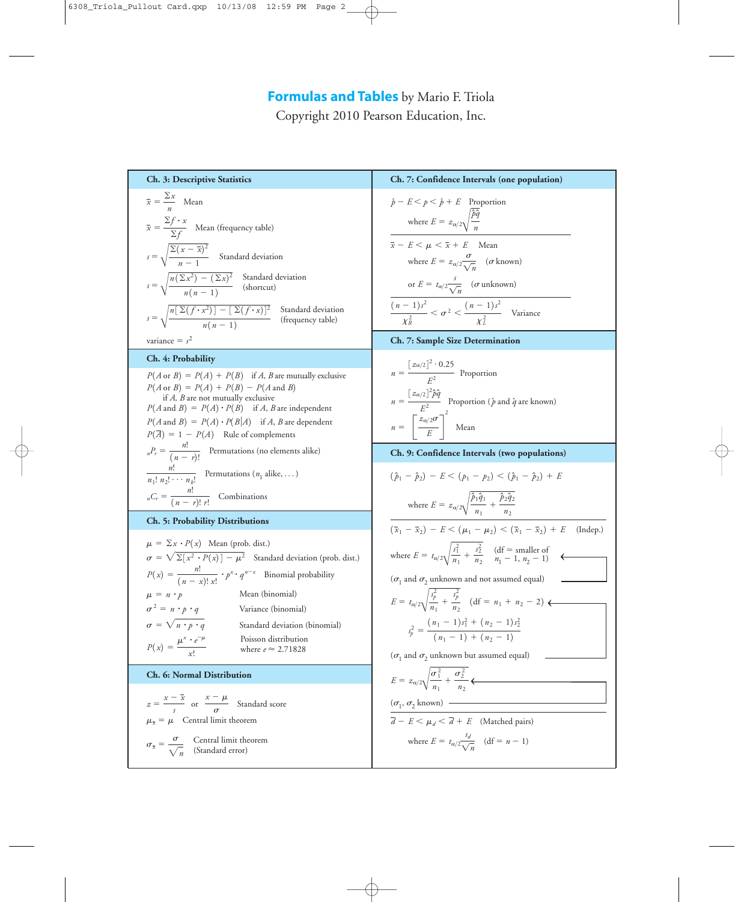Copyright 2010 Pearson Education, Inc.

**Ch. 3: Descriptive Statistics**  $\bar{x} = \frac{\sum x}{n}$  Mean  $= \frac{\sum f \cdot x}{\sum c}$  Mean (frequency table)  $s = \sqrt{\frac{m-1}{n-1}}$  Standard deviation  $s = \sqrt{\frac{n(\Sigma x^2) - (\Sigma x)^2}{n}}$  Standard deviation  $s = \sqrt{\frac{n[\Sigma(f \cdot x^2)] - [\Sigma(f \cdot x)]^2}{(f \cdot x)}}$  Standard deviation variance  $= s^2$ **Ch. 4: Probability**  $P(A \text{ or } B) = P(A) + P(B)$  if *A*, *B* are mutually exclusive if *A, B* are not mutually exclusive if *A*, *B* are not mutually exclusive<br> $P(A \text{ and } B) = P(A) \cdot P(B)$  if *A*, *B* are independent  $P(A \text{ and } B) = P(A) \cdot P(B|A)$  if *A*, *B* are dependent  $P(\overline{A}) = 1 - P(A)$  Rule of complements  $n_r = \frac{n!}{(n-r)!}$  Permutations (no elements alike)  $\frac{n!}{(n_1 n_2 n_3 n_4 n_5 n_5 n_6 n_1 n_2 n_4 n_5 n_2 n_1 n_2 n_3 n_4 n_4 n_5 n_6 n_1 n_1 n_2 n_2 n_3 n_4 n_5 n_6 n_1 n_1 n_2 n_2 n_3 n_5 n_6 n_1 n_1 n_2 n_2 n_3 n_5 n_6 n_1 n_1 n_2 n_2 n_3 n_5 n_7 n_1 n_2 n_3 n_2 n_4 n_5 n_1 n_2 n_2 n_3 n_5 n_1 n_2 n_2 n_3 n_5 n_1 n_2 n_2 n_3 n_1 n_2 n_3 n$  $C_r = \frac{n!}{(n-r)! \, r!}$  Combinations **Ch. 5: Probability Distributions**  $\mu = \sum x \cdot P(x)$  Mean (prob. dist.)  $\sigma = \sqrt{\Sigma[x^2 \cdot P(x)] - \mu^2}$  Standard deviation (prob. dist.)  $P(x) = \frac{n!}{(n-x)! \, x!} \cdot p^x \cdot q^{n-x}$  Binomial probability Mean (binomial) Variance (binomial) Standard deviation (binomial) **Ch. 6: Normal Distribution**  $z = \frac{x - \overline{x}}{s}$  or  $\frac{x - \mu}{\sigma}$  Standard score  $\mu_{\bar{x}} = \mu$  Central limit theorem  $\sigma_{\bar{x}} = \frac{\sigma}{\sqrt{n}}$  Central limit theorem<br>(Standard error) Poisson distribution  $P(x) = \frac{P(x)}{x!}$  where  $e \approx$ where  $e \approx 2.71828$  $\mu^x \cdot e^{-\mu}$ *x* !  $\sigma = \sqrt{n \cdot p \cdot q}$  $\sigma^2 = n \cdot p \cdot q$  $\mu = n \cdot p$  $n_1! n_2! \cdots n_k!$  $P(A \text{ or } B) = P(A) + P(B) - P(A \text{ and } B)$  $\sqrt{\frac{n(n-1)}{n(n-1)}}$  (frequency table)  $\overline{n}[\Sigma(f \cdot x^2)] - [\Sigma(f \cdot x)]^2$  $n(n-1)$  $\sqrt{\frac{n(n-1)}{n(n-1)}}$  (shortcut)  $n(\Sigma x^2) - (\Sigma x)^2$  $n(n-1)$  $\Sigma(x-\bar{x})^2$  $n - 1$  $\bar{x} = \frac{y}{\sum_{j}}$ **Ch. 7: Confidence Intervals (one population)**  $\hat{p} - E \leq p \leq \hat{p} + E$  Proportion where  $\overline{x} - E < \mu < \overline{x} + E$  Mean where  $E = z_{\alpha/2} \frac{\sigma}{\sqrt{n}}$  ( $\sigma$  known) or  $E = t_{\alpha/2} \frac{s}{\sqrt{n}}$  ( $\sigma$  unknown)  $\frac{(n-1)s^2}{2} < \sigma^2 < \frac{(n-1)s^2}{2}$  Variance **Ch. 7: Sample Size Determination**  $n = \frac{[z_{\alpha/2}]^2 \cdot 0.25}{2}$  Proportion Proportion ( $\hat{p}$  and  $\hat{q}$  are known)  $n = \left[\frac{z_{\alpha/2}\sigma}{F}\right]$  Mean **Ch. 9: Confidence Intervals (two populations)** where  $E = z_{\alpha/2} \sqrt{\frac{z_{\alpha/2}}{z_{\alpha/2}}}$  $(\bar{x}_1 - \bar{x}_2) - E < (\mu_1 - \mu_2) < (\bar{x}_1 - \bar{x}_2) + E$  (Indep.) where  $E = t_{\alpha/2} \sqrt{\frac{(\alpha/2)^2}{2\alpha^2}}$ ( $\sigma_1$  and  $\sigma_2$  unknown and not assumed equal) ( $\sigma$ <sub>1</sub> and  $\sigma$ <sub>2</sub> unknown but assumed equal)  $(\sigma_1, \sigma_2 \text{ known})$  $\overline{d} - E < \mu_d < \overline{d} + E$  (Matched pairs) where  $E = t_{\alpha/2} \frac{s_d}{\sqrt{n}}$  (df = *n* - 1)  $\sqrt{n}$  $E = z_{\alpha/2} \sqrt{\frac{E}{\alpha/2}}$  $\sigma_1^2$ *n*1  $+\frac{\sigma_2^2}{\sigma_1^2}$  $\frac{\sigma_2^2}{n_2}$  <  $s_p^2 = \frac{(n_1 - 1)s_1^2 + (n_2 - 1)s_2^2}{(n_1 - 1) + (n_2 - 1)}$  $(n_1 - 1) + (n_2 - 1)$  $E = t_{\alpha/2} \sqrt{\frac{E}{\alpha}}$ *s* 2 *p*  $\frac{s_p^2}{n_1} + \frac{s_p^2}{n_2}$  $\frac{s_p^2}{n_2}$  (df =  $n_1 + n_2 - 2$ ) <  $\frac{s_1^2}{n_1} + \frac{s_2^2}{n_2}$  $\hat{p}_1 \hat{q}_1$  $\frac{\hat{p}_1 \hat{q}_1}{n_1} + \frac{\hat{p}_2 \hat{q}_2}{n_2}$ *n*2  $(\hat{p}_1 - \hat{p}_2) - E < (p_1 - p_2) < (\hat{p}_1 - \hat{p}_2) + E$  $\overline{E}$ 2  $n = \frac{[z_{\alpha/2}]^2 \hat{p} \hat{q}}{r^2}$ *E*2  $E^2$  $\chi^2_R$  $< \sigma^2 < \frac{(n-1)s^2}{r^2}$  $\chi^2_L$  $\sqrt{n}$  $\sqrt{n}$  $E = z_{\alpha/2} \sqrt{\frac{E}{\alpha/2}}$  $\hat{p}\hat{q}$ *n* (df = smaller of  $n_1 - 1$ ,  $n_2 - 1$ )  $\leftrightarrow$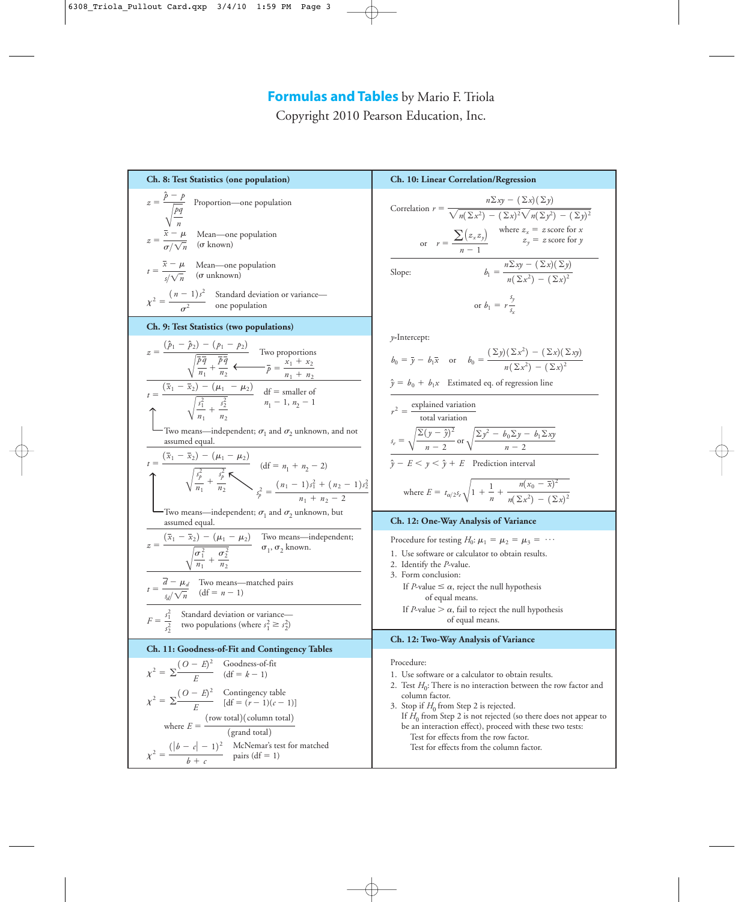Copyright 2010 Pearson Education, Inc.

| Ch. 8: Test Statistics (one population)                                                                                                                                                                                                                                                                                                                                                                                                                                                                                                                                                                                                                                | Ch. 10: Linear Correlation/Regression                                                                                                                                                                                                                                                                                                                                                                                                                                                                                                                                         |
|------------------------------------------------------------------------------------------------------------------------------------------------------------------------------------------------------------------------------------------------------------------------------------------------------------------------------------------------------------------------------------------------------------------------------------------------------------------------------------------------------------------------------------------------------------------------------------------------------------------------------------------------------------------------|-------------------------------------------------------------------------------------------------------------------------------------------------------------------------------------------------------------------------------------------------------------------------------------------------------------------------------------------------------------------------------------------------------------------------------------------------------------------------------------------------------------------------------------------------------------------------------|
| $z = \frac{\hat{p} - p}{\sqrt{\frac{pq}{n}}}$ Proportion—one population<br>$z = \frac{\bar{x} - \mu}{\sigma/\sqrt{n}}$ Mean—one population<br>$t = \frac{\bar{x} - \mu}{s / \sqrt{n}}$ Mean—one population<br>(or unknown)                                                                                                                                                                                                                                                                                                                                                                                                                                             | Correlation $r = \frac{n \Sigma xy - (\Sigma x)(\Sigma y)}{\sqrt{n(\Sigma x^2) - (\Sigma x)^2} \sqrt{n(\Sigma y^2) - (\Sigma y)^2}}$<br>or $r = \frac{\sum (z_x z_y)}{n-1}$ where $z_x = z$ score for x<br>$z_y = z$ score for y<br>$b_1 = \frac{n \sum xy - (\sum x)(\sum y)}{n(\sum x^2) - (\sum x)^2}$<br>Slope:                                                                                                                                                                                                                                                           |
| $\chi^2 = \frac{(n-1)s^2}{\sigma^2}$ Standard deviation or variance—<br>one population                                                                                                                                                                                                                                                                                                                                                                                                                                                                                                                                                                                 | or $b_1 = r \frac{3y}{s}$                                                                                                                                                                                                                                                                                                                                                                                                                                                                                                                                                     |
| Ch. 9: Test Statistics (two populations)                                                                                                                                                                                                                                                                                                                                                                                                                                                                                                                                                                                                                               |                                                                                                                                                                                                                                                                                                                                                                                                                                                                                                                                                                               |
| $z = \frac{(\hat{p}_1 - \hat{p}_2) - (p_1 - p_2)}{\sqrt{\frac{\hat{p}\hat{q}}{n_1} + \frac{\hat{p}\hat{q}}{n_2}}}$ Two proportions<br>$\frac{1}{\hat{p}_1 - \bar{x}_2}$ Two proportions<br>$\frac{1}{\hat{p}_1 - \bar{x}_2}$ Two proportions<br>$\frac{1}{\hat{p}_1 - \bar{x}_2}$ The $\frac{1}{\hat{p}_1 - \bar{x}_2}$ and $\frac{1}{\hat{p}_$<br>- Two means—independent; $\sigma_1$ and $\sigma_2$ unknown, and not<br>assumed equal.<br>$t = \frac{(\bar{x}_1 - \bar{x}_2) - (\mu_1 - \mu_2)}{\sqrt{\frac{s_p^2}{n_1} + \frac{s_p^2}{n_2}}}$ (df = $n_1 + n_2 - 2$ )<br>(df = $n_1 + n_2 - 2$ )<br>$s_p^2 = \frac{(n_1 - 1)s_1^2 + (n_2 - 1)s_2^2}{n_1 + n_2 - 2}$ | $\nu$ -Intercept:<br>$b_0 = \bar{y} - b_1 \bar{x}$ or $b_0 = \frac{(\Sigma y)(\Sigma x^2) - (\Sigma x)(\Sigma xy)}{n(\Sigma x^2) - (\Sigma x)^2}$<br>$\hat{y} = b_0 + b_1 x$ Estimated eq. of regression line<br>$r^2 = \frac{\text{explained variation}}{\text{total variation}}$<br>$s_e = \sqrt{\frac{\sum (y - \hat{y})^2}{n - 2}}$ or $\sqrt{\frac{\sum y^2 - b_0 \sum y - b_1 \sum xy}{n - 2}}$<br>$\hat{y} - E < y < \hat{y} + E$ Prediction interval<br>where $E = t_{\alpha/2} s_e \sqrt{1 + \frac{1}{n} + \frac{n(x_0 - \bar{x})^2}{n(\Sigma x^2) - (\Sigma x)^2}}$ |
| -Two means—independent; $\sigma_1$ and $\sigma_2$ unknown, but<br>assumed equal.                                                                                                                                                                                                                                                                                                                                                                                                                                                                                                                                                                                       | Ch. 12: One-Way Analysis of Variance                                                                                                                                                                                                                                                                                                                                                                                                                                                                                                                                          |
| $z = \frac{(\bar{x}_1 - \bar{x}_2) - (\mu_1 - \mu_2)}{\sqrt{\frac{\sigma_1^2}{n_1} + \frac{\sigma_2^2}{n_2}}}$ Two means—independent;<br>$t = \frac{\overline{d} - \mu_d}{s_d/\sqrt{n}}$ Two means—matched pairs<br>(df = n - 1)<br>$F = \frac{s_1^2}{s_2^2}$ Standard deviation or variance—<br>two populations (where $s_1^2 \ge s_2^2$ )                                                                                                                                                                                                                                                                                                                            | Procedure for testing $H_0$ : $\mu_1 = \mu_2 = \mu_3 = \cdots$<br>1. Use software or calculator to obtain results.<br>2. Identify the P-value.<br>3. Form conclusion:<br>If <i>P</i> -value $\leq \alpha$ , reject the null hypothesis<br>of equal means.<br>If <i>P</i> -value $> \alpha$ , fail to reject the null hypothesis<br>of equal means.                                                                                                                                                                                                                            |
| Ch. 11: Goodness-of-Fit and Contingency Tables                                                                                                                                                                                                                                                                                                                                                                                                                                                                                                                                                                                                                         | Ch. 12: Two-Way Analysis of Variance                                                                                                                                                                                                                                                                                                                                                                                                                                                                                                                                          |
| $\chi^2 = \sum \frac{(O-E)^2}{E}$ Goodness-of-fit<br>(df = k - 1)<br>$\chi^2 = \sum \frac{(O - E)^2}{E}$ Contingency table<br>[df = $(r - 1)(c - 1)$ ]<br>where $E = \frac{(\text{row total})(\text{column total})}{(\text{grand total})}$<br>$\chi^2 = \frac{( b - c  - 1)^2}{b + c}$ McNemar's test for matched<br>pairs (df = 1)                                                                                                                                                                                                                                                                                                                                    | Procedure:<br>1. Use software or a calculator to obtain results.<br>2. Test $H_0$ : There is no interaction between the row factor and<br>column factor.<br>3. Stop if $H_0$ from Step 2 is rejected.<br>If $H_0$ from Step 2 is not rejected (so there does not appear to<br>be an interaction effect), proceed with these two tests:<br>Test for effects from the row factor.<br>Test for effects from the column factor.                                                                                                                                                   |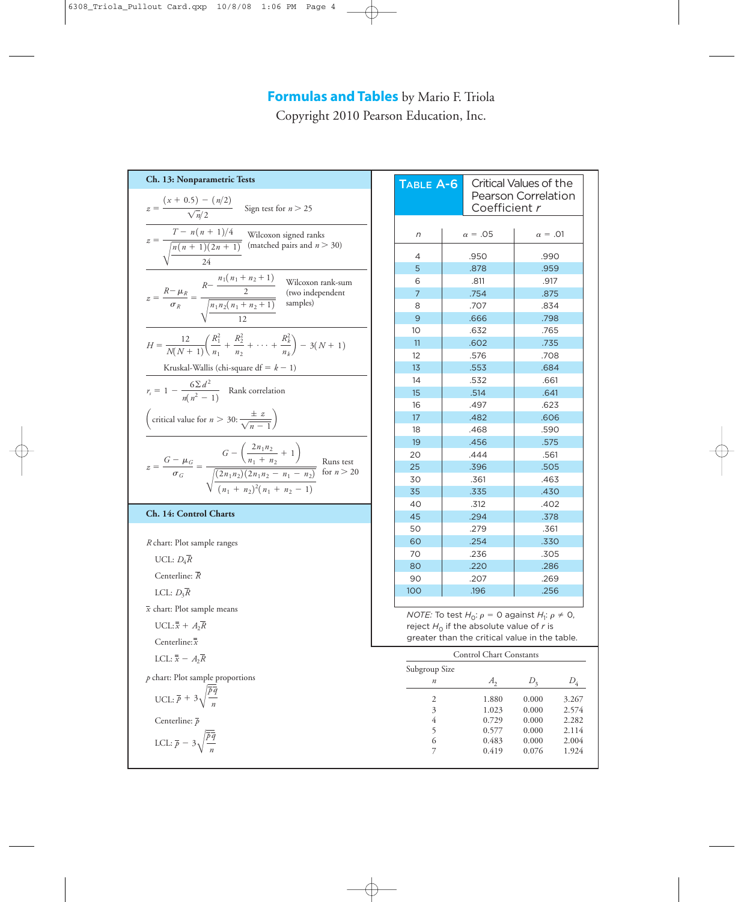Copyright 2010 Pearson Education, Inc.

**Ch. 13: Nonparametric Tests** Sign test for  $n > 25$ Kruskal-Wallis (chi-square  $df = k - 1$ )  $r_s = 1 - \frac{6\sum d^2}{n(n^2 - 1)}$  Rank correlation **Ch. 14: Control Charts** *R* chart: Plot sample ranges UCL:  $D_4$ *R* Centerline: *R* LCL: *D*3*R* chart: Plot sample means *x*  $UCL: \bar{\overline{x}} + A_2 \bar{R}$ Centerline: *xx* LCL:  $\overline{\overline{x}}$  -  $A_2\overline{R}$ *p* chart: Plot sample proportions UCL:  $\bar{p}$  + 3 $\sqrt{\ }$ Centerline: *p* LCL:  $\bar{p}$  – 3 $\sqrt{\frac{p}{p}}$ *p q n p q n*  $z = \frac{G - \mu_G}{\sigma_G} = \frac{(\frac{n_1 + n_2}{n_1 + n_2})^T}{\sqrt{(2n_1n_2)(2n_1n_2 - n_1 - n_2)}}$  For  $n > 20$  $G - \left(\frac{2n_1n_2}{n_1 + n_2} + 1\right)$  $\mathbb {V}$  $\sqrt{(2n_1n_2)(2n_1n_2 - n_1 - n_2)}$  $(n_1 + n_2)^2(n_1 + n_2 - 1)$ critical value for  $n > 30$ :  $\frac{\pm z}{\sqrt{z}}$  $\sqrt{n-1}$  $H = \frac{12}{N(N+1)} \left( \frac{R_1^2}{n_1} \right)$  $\frac{R_1^2}{n_1} + \frac{R_2^2}{n_2}$  $\frac{R_2^2}{n_2} + \cdots + \frac{R_k^2}{n_k}$  $\left(\frac{n_k}{n_k}\right)$  – 3(*N* + 1) Wilcoxon rank-sum (two independent  $z = \frac{R - \mu_R}{\sigma_R} = \frac{R}{\sqrt{n_1 n_2 (n_1 + n_2 + 1)}}$  (two ind  $R - \frac{n_1(n_1 + n_2 + 1)}{2}$ V  $n_1 n_2(n_1 + n_2 + 1)$ 12  $z = \frac{T - n(n + 1)/4}{\sqrt{n(n + 1)(2n + 1)}}$  Wilcoxon signed ranks<br>(matched pairs and *n* > 30)  $\mathbb {V}$ 24  $z = \frac{(x + 0.5) - (n/2)}{\sqrt{n}/2}$ 

| TABLE A-6                                                                                                                                                              | Coefficient r           | Critical Values of the<br>Pearson Correlation |  |  |  |  |  |
|------------------------------------------------------------------------------------------------------------------------------------------------------------------------|-------------------------|-----------------------------------------------|--|--|--|--|--|
| n                                                                                                                                                                      | $\alpha = .05$          | $\alpha = .01$                                |  |  |  |  |  |
| 4                                                                                                                                                                      | .950                    | .990                                          |  |  |  |  |  |
| 5                                                                                                                                                                      | .878                    | .959                                          |  |  |  |  |  |
| 6                                                                                                                                                                      | .811                    | .917                                          |  |  |  |  |  |
| $\overline{7}$                                                                                                                                                         | .754                    | .875                                          |  |  |  |  |  |
| 8                                                                                                                                                                      | .707                    | .834                                          |  |  |  |  |  |
| 9                                                                                                                                                                      | .666                    | .798                                          |  |  |  |  |  |
| 10                                                                                                                                                                     | .632                    | .765                                          |  |  |  |  |  |
| 11                                                                                                                                                                     | .602                    | .735                                          |  |  |  |  |  |
| 12                                                                                                                                                                     | .576                    | .708                                          |  |  |  |  |  |
| 13                                                                                                                                                                     | .553                    | .684                                          |  |  |  |  |  |
| 14                                                                                                                                                                     | .532                    | .661                                          |  |  |  |  |  |
| 15                                                                                                                                                                     | .514                    | .641                                          |  |  |  |  |  |
| 16                                                                                                                                                                     | .497                    | .623                                          |  |  |  |  |  |
| 17                                                                                                                                                                     | .482                    | .606                                          |  |  |  |  |  |
| 18                                                                                                                                                                     | .468                    | .590                                          |  |  |  |  |  |
| 19                                                                                                                                                                     | .456                    | .575                                          |  |  |  |  |  |
| 20                                                                                                                                                                     | .444                    | .561                                          |  |  |  |  |  |
| 25                                                                                                                                                                     | .396                    | .505                                          |  |  |  |  |  |
| 30                                                                                                                                                                     | .361                    | .463                                          |  |  |  |  |  |
| 35                                                                                                                                                                     | .335                    | .430                                          |  |  |  |  |  |
| 40                                                                                                                                                                     | .312                    | .402                                          |  |  |  |  |  |
| 45                                                                                                                                                                     | .294                    | .378                                          |  |  |  |  |  |
| 50                                                                                                                                                                     | .279                    | .361                                          |  |  |  |  |  |
| 60                                                                                                                                                                     | .254                    | .330                                          |  |  |  |  |  |
| 70                                                                                                                                                                     | .236                    | .305                                          |  |  |  |  |  |
| 80                                                                                                                                                                     | .220                    | .286                                          |  |  |  |  |  |
| 90                                                                                                                                                                     | .207                    | .269                                          |  |  |  |  |  |
| 100                                                                                                                                                                    | .196                    | .256                                          |  |  |  |  |  |
| <i>NOTE:</i> To test $H_0$ : $\rho = 0$ against $H_1$ : $\rho \neq 0$ ,<br>reject $H_0$ if the absolute value of r is<br>greater than the critical value in the table. |                         |                                               |  |  |  |  |  |
|                                                                                                                                                                        | Control Chart Constants |                                               |  |  |  |  |  |
| Subgroup Size                                                                                                                                                          |                         |                                               |  |  |  |  |  |
| $\boldsymbol{n}$                                                                                                                                                       | $A_{2}$                 | $D_3$<br>$D_4$                                |  |  |  |  |  |

2 1.880 0.000 3.267<br>3 1.023 0.000 2.574 3 1.023 0.000 2.574<br>4 0.729 0.000 2.282 0.729 0.000 5 0.577 0.000 2.114 6 0.483 0.000 2.004 7 0.419 0.076 1.924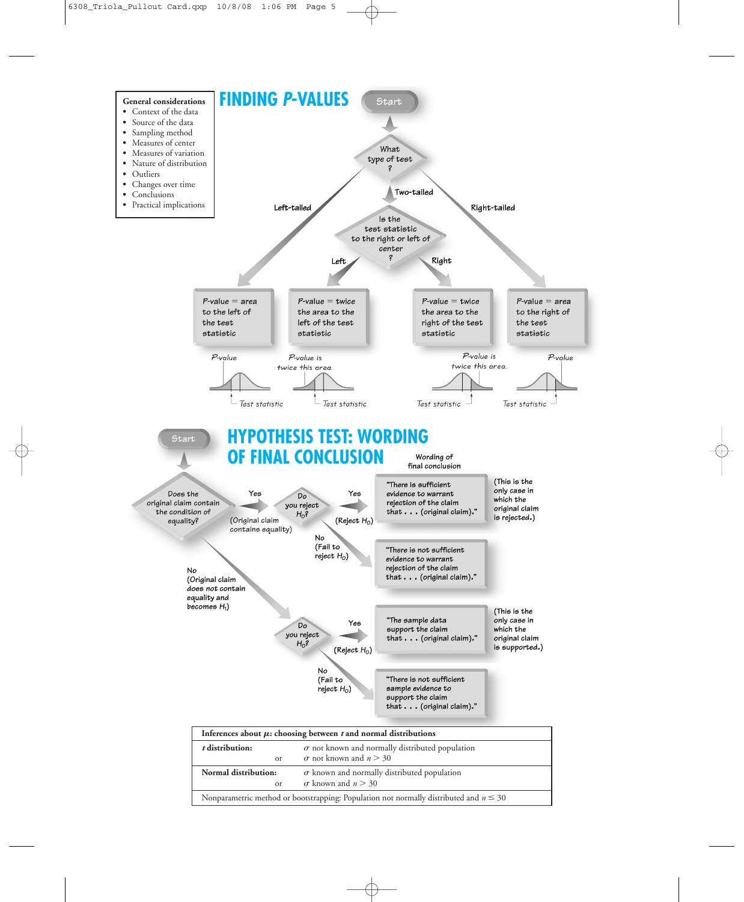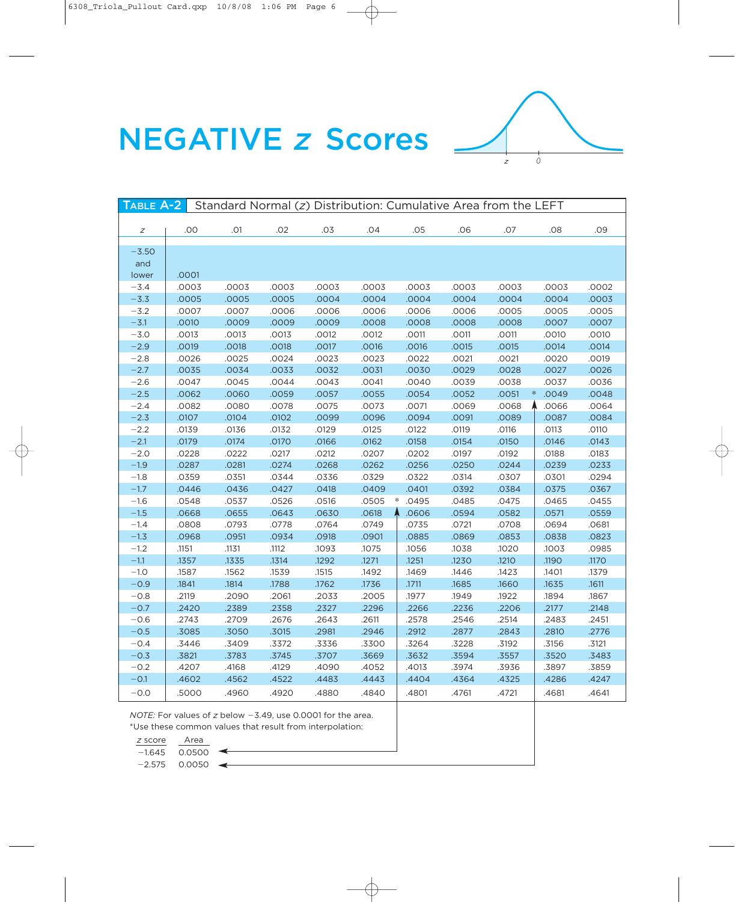



| Standard Normal (z) Distribution: Cumulative Area from the LEFT<br>TABLE A-2 |       |       |       |       |       |            |       |       |                 |       |
|------------------------------------------------------------------------------|-------|-------|-------|-------|-------|------------|-------|-------|-----------------|-------|
|                                                                              |       |       |       |       |       |            |       |       |                 |       |
| Ζ                                                                            | .00   | .01   | .02   | .03   | .04   | .05        | .06   | .07   | .08             | .09   |
| $-3.50$                                                                      |       |       |       |       |       |            |       |       |                 |       |
|                                                                              |       |       |       |       |       |            |       |       |                 |       |
| and<br>lower                                                                 | .0001 |       |       |       |       |            |       |       |                 |       |
| $-3.4$                                                                       | .0003 | .0003 | .0003 | .0003 | .0003 | .0003      | .0003 | .0003 | .0003           | .0002 |
| $-3.3$                                                                       | .0005 | .0005 | .0005 | .0004 | .0004 | .0004      | .0004 | .0004 | .0004           | .0003 |
| $-3.2$                                                                       | .0007 | .0007 | .0006 | .0006 | .0006 | .0006      | .0006 | .0005 | .0005           | .0005 |
| $-3.1$                                                                       | .0010 | .0009 | .0009 | .0009 | .0008 | .0008      | .0008 | .0008 | .0007           | .0007 |
| $-3.0$                                                                       | .0013 | .0013 | .0013 | .0012 | .0012 | .0011      | .0011 | .0011 | .0010           | .0010 |
| $-2.9$                                                                       | .0019 | .0018 | .0018 | .0017 | .0016 | .0016      | .0015 | .0015 | .0014           | .0014 |
| $-2.8$                                                                       | .0026 | .0025 | .0024 | .0023 | .0023 | .0022      | .0021 | .0021 | .0020           | .0019 |
| $-2.7$                                                                       | .0035 | .0034 | .0033 | .0032 | .0031 | .0030      | .0029 | .0028 | .0027           | .0026 |
| $-2.6$                                                                       | .0047 | .0045 | .0044 | .0043 | .0041 | .0040      | .0039 | .0038 | .0037           | .0036 |
| $-2.5$                                                                       | .0062 | .0060 | .0059 | .0057 | .0055 | .0054      | .0052 | .0051 | .0049<br>$\ast$ | .0048 |
| $-2.4$                                                                       | .0082 | .0080 | .0078 | .0075 | .0073 | .0071      | .0069 | .0068 | .0066           | .0064 |
| $-2.3$                                                                       | .0107 | .0104 | .0102 | .0099 | .0096 | .0094      | .0091 | .0089 | .0087           | .0084 |
| $-2.2$                                                                       | .0139 | .0136 | .0132 | .0129 | .0125 | .0122      | .0119 | .0116 | .0113           | .0110 |
| $-2.1$                                                                       | .0179 | .0174 | .0170 | .0166 | .0162 | .0158      | .0154 | .0150 | .0146           | .0143 |
| $-2.0$                                                                       | .0228 | .0222 | .0217 | .0212 | .0207 | .0202      | .0197 | .0192 | .0188           | .0183 |
| $-1.9$                                                                       | .0287 | .0281 | .0274 | .0268 | .0262 | .0256      | .0250 | .0244 | .0239           | .0233 |
| $-1.8$                                                                       | .0359 | .0351 | .0344 | .0336 | .0329 | .0322      | .0314 | .0307 | .0301           | .0294 |
| $-1.7$                                                                       | .0446 | .0436 | .0427 | .0418 | .0409 | .0401      | .0392 | .0384 | .0375           | .0367 |
| $-1.6$                                                                       | .0548 | .0537 | .0526 | .0516 | .0505 | *<br>.0495 | .0485 | .0475 | .0465           | .0455 |
| $-1.5$                                                                       | .0668 | .0655 | .0643 | .0630 | .0618 | .0606      | .0594 | .0582 | .0571           | .0559 |
| $-1.4$                                                                       | .0808 | .0793 | .0778 | .0764 | .0749 | .0735      | .0721 | .0708 | .0694           | .0681 |
| $-1.3$                                                                       | .0968 | .0951 | .0934 | .0918 | .0901 | .0885      | .0869 | .0853 | .0838           | .0823 |
| $-1.2$                                                                       | .1151 | .1131 | .1112 | .1093 | .1075 | .1056      | .1038 | .1020 | .1003           | .0985 |
| $-1.1$                                                                       | .1357 | .1335 | .1314 | .1292 | .1271 | .1251      | .1230 | .1210 | .1190           | .1170 |
| $-1.0$                                                                       | .1587 | .1562 | .1539 | .1515 | .1492 | .1469      | .1446 | .1423 | .1401           | .1379 |
| $-0.9$                                                                       | .1841 | .1814 | .1788 | .1762 | .1736 | .1711      | .1685 | .1660 | .1635           | .1611 |
| $-0.8$                                                                       | .2119 | .2090 | .2061 | .2033 | .2005 | .1977      | .1949 | .1922 | .1894           | .1867 |
| $-0.7$                                                                       | .2420 | .2389 | .2358 | .2327 | .2296 | .2266      | .2236 | .2206 | .2177           | .2148 |
| $-0.6$                                                                       | .2743 | .2709 | .2676 | .2643 | .2611 | .2578      | .2546 | .2514 | .2483           | .2451 |
| $-0.5$                                                                       | .3085 | .3050 | .3015 | .2981 | .2946 | .2912      | .2877 | .2843 | .2810           | .2776 |
| $-0.4$                                                                       | .3446 | .3409 | .3372 | .3336 | .3300 | .3264      | .3228 | .3192 | .3156           | .3121 |
| $-0.3$                                                                       | .3821 | .3783 | .3745 | .3707 | .3669 | .3632      | .3594 | .3557 | .3520           | .3483 |
| $-0.2$                                                                       | .4207 | .4168 | .4129 | .4090 | .4052 | .4013      | .3974 | .3936 | .3897           | .3859 |
| $-0.1$                                                                       | .4602 | .4562 | .4522 | .4483 | .4443 | .4404      | .4364 | .4325 | .4286           | .4247 |
| $-0.0$                                                                       | 5000  | .4960 | .4920 | .4880 | .4840 | .4801      | .4761 | .4721 | .4681           | .4641 |

NOTE: For values of z below -3.49, use 0.0001 for the area. \*Use these common values that result from interpolation:

*z* score Area

 $-1.645$  0.0500  $-2.575$  0.0050  $\leftarrow$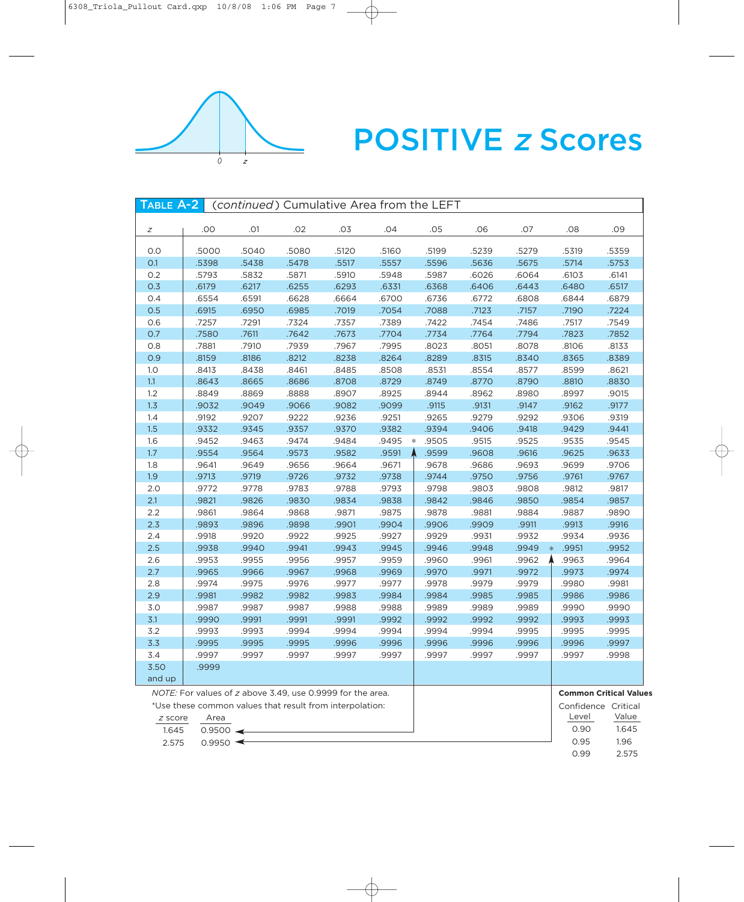

# POSITIVE <sup>z</sup> Scores

| TABLE A-2 |                        |                                                            | (continued) Cumulative Area from the LEFT |       |       |   |       |       |       |                               |       |
|-----------|------------------------|------------------------------------------------------------|-------------------------------------------|-------|-------|---|-------|-------|-------|-------------------------------|-------|
|           |                        |                                                            |                                           |       |       |   |       |       |       |                               |       |
| Ζ         | .00                    | .O1                                                        | .02                                       | .03   | .04   |   | .05   | .06   | .07   | .08                           | .09   |
| 0.0       | .5000                  | .5040                                                      | .5080                                     | .5120 | .5160 |   | .5199 | .5239 | .5279 | .5319                         | .5359 |
| O.1       | .5398                  | .5438                                                      | .5478                                     | .5517 | .5557 |   | .5596 | .5636 | .5675 | .5714                         | .5753 |
| 0.2       | .5793                  | .5832                                                      | .5871                                     | .5910 | .5948 |   | .5987 | .6026 | .6064 | .6103                         | .6141 |
| 0.3       | .6179                  | .6217                                                      | .6255                                     | .6293 | .6331 |   | .6368 | .6406 | .6443 | .6480                         | .6517 |
| 0.4       | .6554                  | .6591                                                      | .6628                                     | .6664 | .6700 |   | .6736 | .6772 | .6808 | .6844                         | .6879 |
| 0.5       | .6915                  | .6950                                                      | .6985                                     | .7019 | .7054 |   | .7088 | .7123 | .7157 | .7190                         | .7224 |
| 0.6       | .7257                  | .7291                                                      | .7324                                     | .7357 | .7389 |   | .7422 | .7454 | .7486 | .7517                         | .7549 |
| 0.7       | .7580                  | .7611                                                      | .7642                                     | .7673 | .7704 |   | .7734 | .7764 | .7794 | .7823                         | .7852 |
| 0.8       | .7881                  | .7910                                                      | .7939                                     | .7967 | .7995 |   | .8023 | .8051 | .8078 | .8106                         | .8133 |
| 0.9       | .8159                  | .8186                                                      | .8212                                     | .8238 | .8264 |   | .8289 | .8315 | .8340 | .8365                         | .8389 |
| 1.0       | .8413                  | .8438                                                      | .8461                                     | .8485 | .8508 |   | .8531 | .8554 | .8577 | .8599                         | .8621 |
| 1.1       | .8643                  | .8665                                                      | .8686                                     | .8708 | .8729 |   | .8749 | .8770 | .8790 | .8810                         | .8830 |
| 1.2       | .8849                  | .8869                                                      | .8888                                     | .8907 | .8925 |   | .8944 | .8962 | .8980 | .8997                         | .9015 |
| 1.3       | .9032                  | .9049                                                      | .9066                                     | .9082 | .9099 |   | .9115 | .9131 | .9147 | .9162                         | .9177 |
| 1.4       | .9192                  | .9207                                                      | .9222                                     | .9236 | .9251 |   | .9265 | .9279 | .9292 | .9306                         | .9319 |
| 1.5       | .9332                  | .9345                                                      | .9357                                     | .9370 | .9382 |   | .9394 | .9406 | .9418 | .9429                         | .9441 |
| 1.6       | .9452                  | .9463                                                      | .9474                                     | .9484 | .9495 | ∗ | .9505 | .9515 | .9525 | .9535                         | .9545 |
| $1.7\,$   | .9554                  | .9564                                                      | .9573                                     | .9582 | .9591 |   | .9599 | .9608 | .9616 | .9625                         | .9633 |
| 1.8       | .9641                  | .9649                                                      | .9656                                     | .9664 | .9671 |   | .9678 | .9686 | .9693 | .9699                         | .9706 |
| 1.9       | .9713                  | .9719                                                      | .9726                                     | .9732 | .9738 |   | .9744 | .9750 | .9756 | .9761                         | .9767 |
| 2.0       | .9772                  | .9778                                                      | .9783                                     | .9788 | .9793 |   | .9798 | .9803 | .9808 | .9812                         | .9817 |
| 2.1       | .9821                  | .9826                                                      | .9830                                     | .9834 | .9838 |   | .9842 | .9846 | .9850 | .9854                         | .9857 |
| 2.2       | .9861                  | .9864                                                      | .9868                                     | .9871 | .9875 |   | .9878 | .9881 | .9884 | .9887                         | .9890 |
| 2.3       | .9893                  | .9896                                                      | .9898                                     | .9901 | .9904 |   | .9906 | .9909 | .9911 | .9913                         | .9916 |
| 2.4       | .9918                  | .9920                                                      | .9922                                     | .9925 | .9927 |   | .9929 | .9931 | .9932 | .9934                         | .9936 |
| 2.5       | .9938                  | .9940                                                      | .9941                                     | .9943 | .9945 |   | .9946 | .9948 | .9949 | .9951<br>$\ast$               | .9952 |
| 2.6       | .9953                  | .9955                                                      | .9956                                     | .9957 | .9959 |   | .9960 | .9961 | .9962 | .9963                         | .9964 |
| 2.7       | .9965                  | .9966                                                      | .9967                                     | .9968 | .9969 |   | .9970 | .9971 | .9972 | .9973                         | .9974 |
| 2.8       | .9974                  | .9975                                                      | .9976                                     | .9977 | .9977 |   | .9978 | .9979 | .9979 | .9980                         | .9981 |
| 2.9       | .9981                  | .9982                                                      | .9982                                     | .9983 | .9984 |   | .9984 | .9985 | .9985 | .9986                         | .9986 |
| 3.0       | .9987                  | .9987                                                      | .9987                                     | .9988 | .9988 |   | .9989 | .9989 | .9989 | .9990                         | .9990 |
| 3.1       | .9990                  | .9991                                                      | .9991                                     | .9991 | .9992 |   | .9992 | .9992 | .9992 | .9993                         | .9993 |
| 3.2       | .9993                  | .9993                                                      | .9994                                     | .9994 | .9994 |   | .9994 | .9994 | .9995 | .9995                         | .9995 |
| 3.3       | .9995                  | .9995                                                      | .9995                                     | .9996 | .9996 |   | .9996 | .9996 | .9996 | .9996                         | .9997 |
| 3.4       | .9997                  | .9997                                                      | .9997                                     | .9997 | .9997 |   | .9997 | .9997 | .9997 | .9997                         | .9998 |
| 3.50      | .9999                  |                                                            |                                           |       |       |   |       |       |       |                               |       |
| and up    |                        |                                                            |                                           |       |       |   |       |       |       |                               |       |
|           |                        | NOTE: For values of z above 3.49, use 0.9999 for the area. |                                           |       |       |   |       |       |       | <b>Common Critical Values</b> |       |
|           |                        | *Use these common values that result from interpolation:   |                                           |       |       |   |       |       |       | Confidence Critical           |       |
| z score   | Area                   |                                                            |                                           |       |       |   |       |       |       | Level                         | Value |
| 1.645     | $0.9500 \triangleleft$ |                                                            |                                           |       |       |   |       |       |       | 0.90                          | 1.645 |
| 2.575     | $0.9950$ $\leftarrow$  |                                                            |                                           |       |       |   |       |       |       | 0.95                          | 1.96  |
|           |                        |                                                            |                                           |       |       |   |       |       |       | 0.99                          | 2.575 |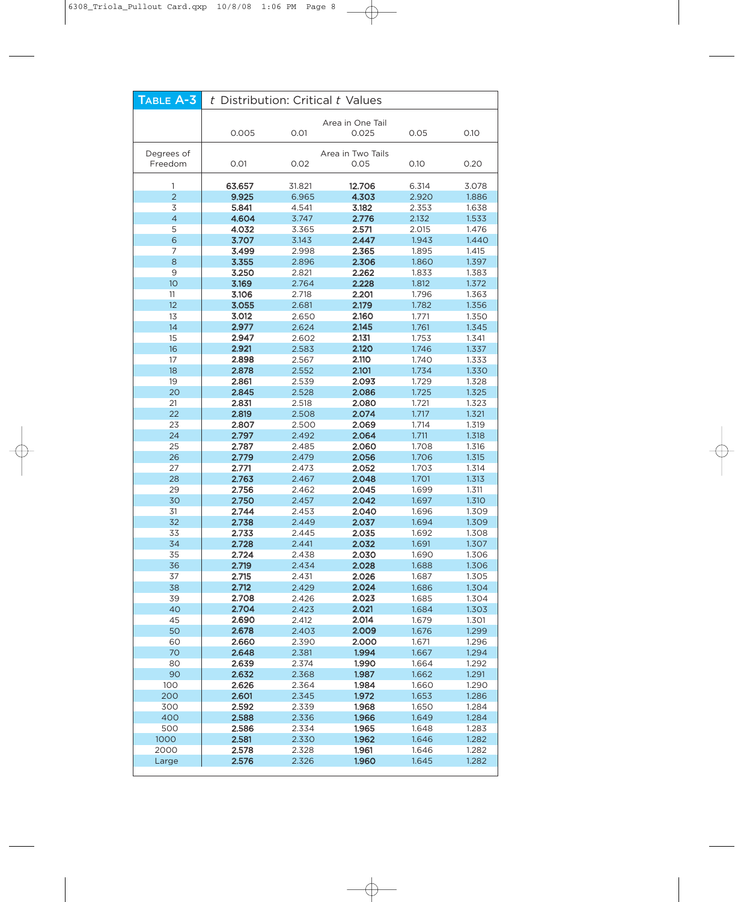| TABLE A-3             | t Distribution: Critical t Values |                |                           |                |                |  |  |  |
|-----------------------|-----------------------------------|----------------|---------------------------|----------------|----------------|--|--|--|
|                       |                                   |                | Area in One Tail          |                |                |  |  |  |
|                       | 0.005<br>0.01                     |                | 0.025                     | 0.05           | 0.10           |  |  |  |
|                       |                                   |                |                           |                |                |  |  |  |
| Degrees of<br>Freedom | 0.01                              | 0.02           | Area in Two Tails<br>0.05 | 0.10           | 0.20           |  |  |  |
|                       |                                   |                |                           |                |                |  |  |  |
| 1                     | 63.657                            | 31.821         | 12.706                    | 6.314          | 3.078          |  |  |  |
| $\overline{2}$        | 9.925                             | 6.965          | 4.303                     | 2.920          | 1.886          |  |  |  |
| 3                     | 5.841                             | 4.541          | 3.182                     | 2.353          | 1.638          |  |  |  |
| $\overline{4}$<br>5   | 4.604<br>4.032                    | 3.747<br>3.365 | 2.776<br>2.571            | 2.132<br>2.015 | 1.533<br>1.476 |  |  |  |
| $6\phantom{a}$        | 3.707                             | 3.143          | 2.447                     | 1.943          | 1.440          |  |  |  |
| 7                     | 3.499                             | 2.998          | 2.365                     | 1.895          | 1.415          |  |  |  |
| $\,8\,$               | 3.355                             | 2.896          | 2.306                     | 1.860          | 1.397          |  |  |  |
| 9                     | 3.250                             | 2.821          | 2.262                     | 1.833          | 1.383          |  |  |  |
| 10                    | 3.169                             | 2.764          | 2.228                     | 1.812          | 1.372          |  |  |  |
| 11<br>12              | 3.106                             | 2.718          | 2.201                     | 1.796          | 1.363          |  |  |  |
| 13                    | 3.055<br>3.012                    | 2.681<br>2.650 | 2.179<br>2.160            | 1.782<br>1.771 | 1.356<br>1.350 |  |  |  |
| 14                    | 2.977                             | 2.624          | 2.145                     | 1.761          | 1.345          |  |  |  |
| 15                    | 2.947                             | 2.602          | 2.131                     | 1.753          | 1.341          |  |  |  |
| 16                    | 2.921                             | 2.583          | 2.120                     | 1.746          | 1.337          |  |  |  |
| 17                    | 2.898                             | 2.567          | 2.110                     | 1.740          | 1.333          |  |  |  |
| 18                    | 2.878                             | 2.552          | 2.101                     | 1.734          | 1.330          |  |  |  |
| 19                    | 2.861                             | 2.539          | 2.093                     | 1.729          | 1.328          |  |  |  |
| 20                    | 2.845<br>2.831                    | 2.528          | 2.086<br>2.080            | 1.725          | 1.325          |  |  |  |
| 21<br>22              | 2.819                             | 2.518<br>2.508 | 2.074                     | 1.721<br>1.717 | 1.323<br>1.321 |  |  |  |
| 23                    | 2.807                             | 2.500          | 2.069                     | 1.714          | 1.319          |  |  |  |
| 24                    | 2.797                             | 2.492          | 2.064                     | 1.711          | 1.318          |  |  |  |
| 25                    | 2.787                             | 2.485          | 2.060                     | 1.708          | 1.316          |  |  |  |
| 26                    | 2.779                             | 2.479          | 2.056                     | 1.706          | 1.315          |  |  |  |
| 27                    | 2.771                             | 2.473          | 2.052                     | 1.703          | 1.314          |  |  |  |
| 28                    | 2.763                             | 2.467          | 2.048<br>2.045            | 1.701          | 1.313          |  |  |  |
| 29<br>30              | 2.756<br>2.750                    | 2.462<br>2.457 | 2.042                     | 1.699<br>1.697 | 1.311<br>1.310 |  |  |  |
| 31                    | 2.744                             | 2.453          | 2.040                     | 1.696          | 1.309          |  |  |  |
| 32                    | 2.738                             | 2.449          | 2.037                     | 1.694          | 1.309          |  |  |  |
| 33                    | 2.733                             | 2.445          | 2.035                     | 1.692          | 1.308          |  |  |  |
| 34                    | 2.728                             | 2.441          | 2.032                     | 1.691          | 1.307          |  |  |  |
| 35                    | 2.724                             | 2.438          | 2.030                     | 1.690          | 1.306          |  |  |  |
| 36                    | 2.719                             | 2.434          | 2.028                     | 1.688          | 1.306          |  |  |  |
| 37<br>38              | 2.715<br>2.712                    | 2.431<br>2.429 | 2.026<br>2.024            | 1.687<br>1.686 | 1.305<br>1.304 |  |  |  |
| 39                    | 2.708                             | 2.426          | 2.023                     | 1.685          | 1.304          |  |  |  |
| 40                    | 2.704                             | 2.423          | 2.021                     | 1.684          | 1.303          |  |  |  |
| 45                    | 2.690                             | 2.412          | 2.014                     | 1.679          | 1.301          |  |  |  |
| 50                    | 2.678                             | 2.403          | 2.009                     | 1.676          | 1.299          |  |  |  |
| 60                    | 2.660                             | 2.390          | 2.000                     | 1.671          | 1.296          |  |  |  |
| 70                    | 2.648<br>2.639                    | 2.381          | 1.994                     | 1.667          | 1.294          |  |  |  |
| 80<br>90              | 2.632                             | 2.374<br>2.368 | 1.990<br>1.987            | 1.664<br>1.662 | 1.292<br>1.291 |  |  |  |
| 100                   | 2.626                             | 2.364          | 1.984                     | 1.660          | 1.290          |  |  |  |
| 200                   | 2.601                             | 2.345          | 1.972                     | 1.653          | 1.286          |  |  |  |
| 300                   | 2.592                             | 2.339          | 1.968                     | 1.650          | 1.284          |  |  |  |
| 400                   | 2.588                             | 2.336          | 1.966                     | 1.649          | 1.284          |  |  |  |
| 500                   | 2.586                             | 2.334          | 1.965                     | 1.648          | 1.283          |  |  |  |
| 1000                  | 2.581                             | 2.330          | 1.962                     | 1.646          | 1.282          |  |  |  |
| 2000<br>Large         | 2.578<br>2.576                    | 2.328<br>2.326 | 1.961<br>1.960            | 1.646<br>1.645 | 1.282<br>1.282 |  |  |  |
|                       |                                   |                |                           |                |                |  |  |  |